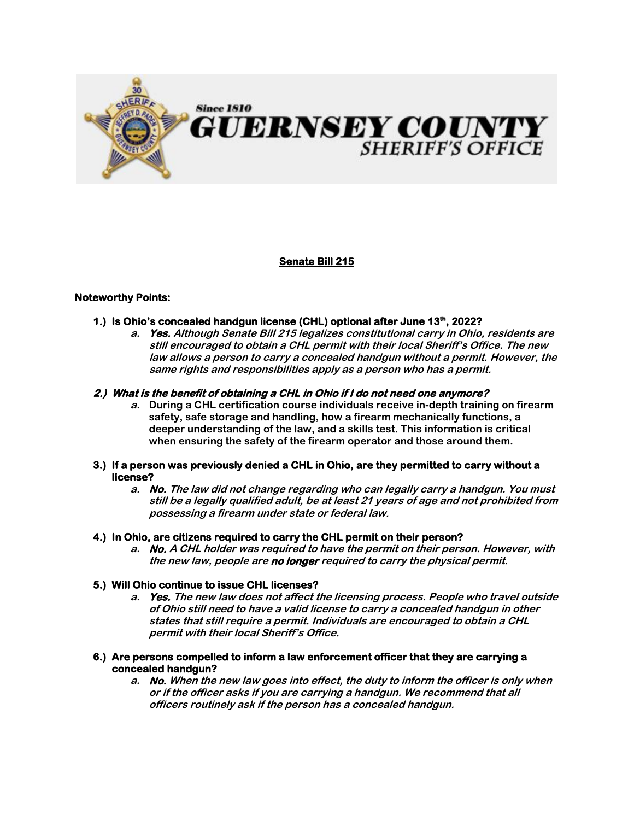

# **Senate Bill 215**

## **Noteworthy Points:**

- **1.)** Is Ohio's concealed handgun license (CHL) optional after June 13<sup>th</sup>, 2022?
	- **a. Yes. Although Senate Bill 215 legalizes constitutional carry in Ohio, residents are still encouraged to obtain a CHL permit with their local Sheriff's Office. The new law allows a person to carry a concealed handgun without a permit. However, the same rights and responsibilities apply as a person who has a permit.**

#### **2.) What is the benefit of obtaining a CHL in Ohio if I do not need one anymore?**

- **a. During a CHL certification course individuals receive in-depth training on firearm safety, safe storage and handling, how a firearm mechanically functions, a deeper understanding of the law, and a skills test. This information is critical when ensuring the safety of the firearm operator and those around them.**
- **3.) If a person was previously denied a CHL in Ohio, are they permitted to carry without a license?** 
	- **a. No. The law did not change regarding who can legally carry a handgun. You must still be a legally qualified adult, be at least 21 years of age and not prohibited from possessing a firearm under state or federal law.**

#### **4.) In Ohio, are citizens required to carry the CHL permit on their person?**

**a. No. A CHL holder was required to have the permit on their person. However, with the new law, people are no longer required to carry the physical permit.** 

#### **5.) Will Ohio continue to issue CHL licenses?**

- **a. Yes. The new law does not affect the licensing process. People who travel outside of Ohio still need to have a valid license to carry a concealed handgun in other states that still require a permit. Individuals are encouraged to obtain a CHL permit with their local Sheriff's Office.**
- **6.) Are persons compelled to inform a law enforcement officer that they are carrying a concealed handgun?** 
	- **a. No. When the new law goes into effect, the duty to inform the officer is only when or if the officer asks if you are carrying a handgun. We recommend that all officers routinely ask if the person has a concealed handgun.**